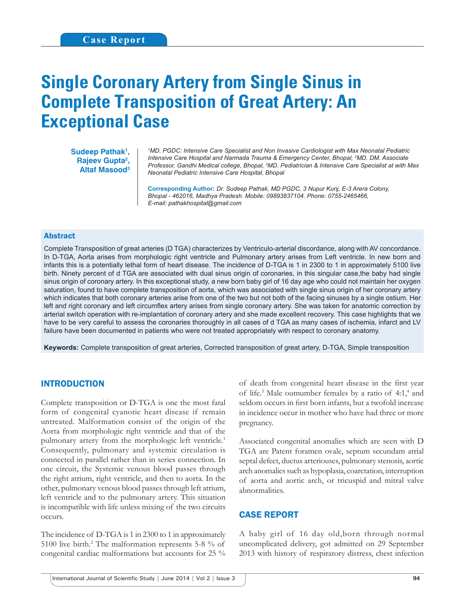# **Single Coronary Artery from Single Sinus in Complete Transposition of Great Artery: An Exceptional Case**

Sudeep Pathak<sup>1</sup>, Rajeev Gupta<sup>2</sup>, **Altaf Masood3**

*1 MD. PGDC: Intensive Care Specialist and Non Invasive Cardiologist with Max Neonatal Pediatric Intensive Care Hospital and Narmada Trauma & Emergency Center, Bhopal, 2 MD. DM. Associate Professor, Gandhi Medical college, Bhopal, 3 MD. Pediatrician & Intensive Care Specialist at with Max Neonatal Pediatric Intensive Care Hospital, Bhopal*

**Corresponding Author:** *Dr. Sudeep Pathak, MD PGDC, 3 Nupur Kunj, E-3 Arera Colony, Bhopal - 462016, Madhya Pradesh. Mobile: 09893837104. Phone: 0755-2465466, E-mail: pathakhospital@gmail.com*

#### Abstract

Complete Transposition of great arteries (D TGA) characterizes by Ventriculo-arterial discordance, along with AV concordance. In D-TGA, Aorta arises from morphologic right ventricle and Pulmonary artery arises from Left ventricle. In new born and infants this is a potentially lethal form of heart disease. The incidence of D-TGA is 1 in 2300 to 1 in approximately 5100 live birth. Ninety percent of d TGA are associated with dual sinus origin of coronaries, in this singular case, the baby had single sinus origin of coronary artery. In this exceptional study, a new born baby girl of 16 day age who could not maintain her oxygen saturation, found to have complete transposition of aorta, which was associated with single sinus origin of her coronary artery which indicates that both coronary arteries arise from one of the two but not both of the facing sinuses by a single ostium. Her left and right coronary and left circumflex artery arises from single coronary artery. She was taken for anatomic correction by arterial switch operation with re-implantation of coronary artery and she made excellent recovery. This case highlights that we have to be very careful to assess the coronaries thoroughly in all cases of d TGA as many cases of ischemia, infarct and LV failure have been documented in patients who were not treated appropriately with respect to coronary anatomy.

**Keywords:** Complete transposition of great arteries, Corrected transposition of great artery, D-TGA, Simple transposition

### INTRODUCTION

Complete transposition or D-TGA is one the most fatal form of congenital cyanotic heart disease if remain untreated. Malformation consist of the origin of the Aorta from morphologic right ventricle and that of the pulmonary artery from the morphologic left ventricle.<sup>1</sup> Consequently, pulmonary and systemic circulation is connected in parallel rather than in series connection. In one circuit, the Systemic venous blood passes through the right atrium, right ventricle, and then to aorta. In the other, pulmonary venous blood passes through left atrium, left ventricle and to the pulmonary artery. This situation is incompatible with life unless mixing of the two circuits occurs.

The incidence of D-TGA is 1 in 2300 to 1 in approximately 5100 live birth.<sup>2</sup> The malformation represents 5-8 % of congenital cardiac malformations but accounts for 25 % of death from congenital heart disease in the first year of life.<sup>3</sup> Male outnumber females by a ratio of 4:1,<sup>4</sup> and seldom occurs in first born infants, but a twofold increase in incidence occur in mother who have had three or more pregnancy.

Associated congenital anomalies which are seen with D TGA are Patent foramen ovale, septum secundam atrial septal defect, ductus arteriouses, pulmonary stenosis, aortic arch anomalies such as hypoplasia, coarctation, interruption of aorta and aortic arch, or tricuspid and mitral valve abnormalities.

#### CASE REPORT

A baby girl of 16 day old,born through normal uncomplicated delivery, got admitted on 29 September 2013 with history of respiratory distress, chest infection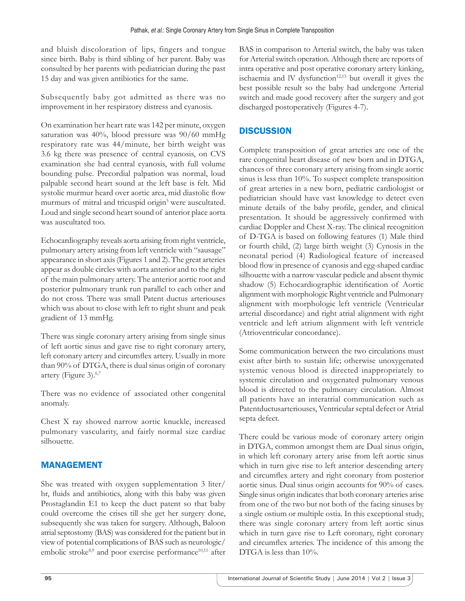and bluish discoloration of lips, fingers and tongue since birth. Baby is third sibling of her parent. Baby was consulted by her parents with pediatrician during the past 15 day and was given antibiotics for the same.

Subsequently baby got admitted as there was no improvement in her respiratory distress and cyanosis.

On examination her heart rate was 142 per minute, oxygen saturation was 40%, blood pressure was 90/60 mmHg respiratory rate was 44/minute, her birth weight was 3.6 kg there was presence of central cyanosis, on CVS examination she had central cyanosis, with full volume bounding pulse. Precordial palpation was normal, loud palpable second heart sound at the left base is felt. Mid systolic murmur heard over aortic area, mid diastolic flow murmurs of mitral and tricuspid origin<sup>5</sup> were auscultated. Loud and single second heart sound of anterior place aorta was auscultated too.

Echocardiography reveals aorta arising from right ventricle, pulmonary artery arising from left ventricle with "sausage" appearance in short axis (Figures 1 and 2). The great arteries appear as double circles with aorta anterior and to the right of the main pulmonary artery. The anterior aortic root and posterior pulmonary trunk run parallel to each other and do not cross. There was small Patent ductus arteriouses which was about to close with left to right shunt and peak gradient of 13 mmHg.

There was single coronary artery arising from single sinus of left aortic sinus and gave rise to right coronary artery, left coronary artery and circumflex artery. Usually in more than 90% of DTGA, there is dual sinus origin of coronary artery (Figure 3).6,7

There was no evidence of associated other congenital anomaly.

Chest X ray showed narrow aortic knuckle, increased pulmonary vascularity, and fairly normal size cardiac silhouette.

## MANAGEMENT

She was treated with oxygen supplementation 3 liter/ hr, fluids and antibiotics, along with this baby was given Prostaglandin E1 to keep the duct patent so that baby could overcome the crises till she get her surgery done, subsequently she was taken for surgery. Although, Baloon atrial septostomy (BAS) was considered for the patient but in view of potential complications of BAS such as neurologic/ embolic stroke<sup>8,9</sup> and poor exercise performance<sup>10,11</sup> after

BAS in comparison to Arterial switch, the baby was taken for Arterial switch operation. Although there are reports of intra operative and post operative coronary artery kinking, ischaemia and IV dysfunction<sup>12,13</sup> but overall it gives the best possible result so the baby had undergone Arterial switch and made good recovery after the surgery and got discharged postoperatively (Figures 4-7).

## **DISCUSSION**

Complete transposition of great arteries are one of the rare congenital heart disease of new born and in DTGA, chances of three coronary artery arising from single aortic sinus is less than 10%. To suspect complete transposition of great arteries in a new born, pediatric cardiologist or pediatrician should have vast knowledge to detect even minute details of the baby profile, gender, and clinical presentation. It should be aggressively confirmed with cardiac Doppler and Chest X-ray. The clinical recognition of D-TGA is based on following features (1) Male third or fourth child, (2) large birth weight (3) Cynosis in the neonatal period (4) Radiological feature of increased blood flow in presence of cyanosis and egg-shaped cardiac silhouette with a narrow vascular pedicle and absent thymic shadow (5) Echocardiographic identification of Aortic alignment with morphologic Right ventricle and Pulmonary alignment with morphologic left ventricle (Ventricular arterial discordance) and right atrial alignment with right ventricle and left atrium alignment with left ventricle (Atrioventricular concordance).

Some communication between the two circulations must exist after birth to sustain life; otherwise unoxygenated systemic venous blood is directed inappropriately to systemic circulation and oxygenated pulmonary venous blood is directed to the pulmonary circulation. Almost all patients have an interatrial communication such as Patentductusarteriouses, Ventricular septal defect or Atrial septa defect.

There could be various mode of coronary artery origin in DTGA, common amongst them are Dual sinus origin, in which left coronary artery arise from left aortic sinus which in turn give rise to left anterior descending artery and circumflex artery and right coronary from posterior aortic sinus. Dual sinus origin accounts for 90% of cases. Single sinus origin indicates that both coronary arteries arise from one of the two but not both of the facing sinuses by a single ostium or multiple ostia. In this exceptional study, there was single coronary artery from left aortic sinus which in turn gave rise to Left coronary, right coronary and circumflex arteries. The incidence of this among the DTGA is less than  $10\%$ .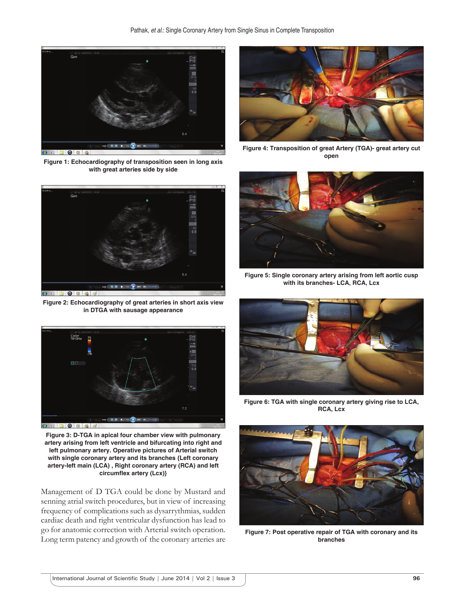

**Figure 1: Echocardiography of transposition seen in long axis with great arteries side by side**



**Figure 2: Echocardiography of great arteries in short axis view in DTGA with sausage appearance**



**Figure 3: D-TGA in apical four chamber view with pulmonary artery arising from left ventricle and bifurcating into right and left pulmonary artery. Operative pictures of Arterial switch with single coronary artery and its branches {Left coronary artery-left main (LCA) , Right coronary artery (RCA) and left**  circumflex artery (Lcx)}

Management of D TGA could be done by Mustard and senning atrial switch procedures, but in view of increasing frequency of complications such as dysarrythmias, sudden cardiac death and right ventricular dysfunction has lead to go for anatomic correction with Arterial switch operation. Long term patency and growth of the coronary arteries are



**Figure 4: Transposition of great Artery (TGA)- great artery cut open**



**Figure 5: Single coronary artery arising from left aortic cusp with its branches- LCA, RCA, Lcx**



**Figure 6: TGA with single coronary artery giving rise to LCA, RCA, Lcx**



**Figure 7: Post operative repair of TGA with coronary and its branches**